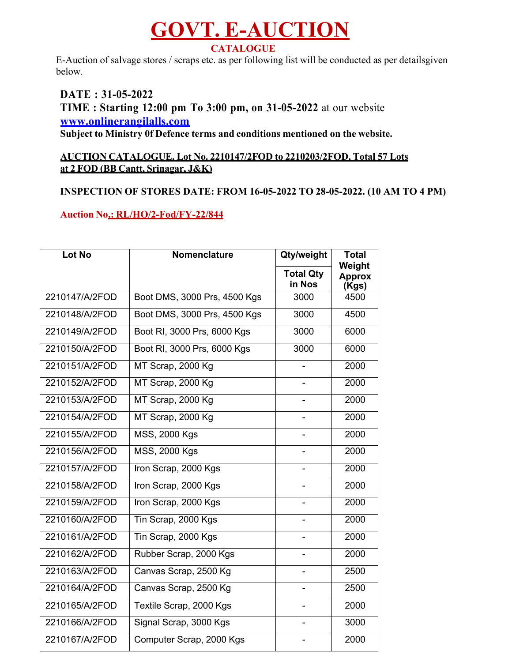## **GOVT. E-AUCTION CATALOGUE**

E-Auction of salvage stores / scraps etc. as per following list will be conducted as per detailsgiven below.

**DATE : 31-05-2022 TIME : Starting 12:00 pm To 3:00 pm, on 31-05-2022** at our website **www.onlinerangilalls.com Subject to Ministry 0f Defence terms and conditions mentioned on the website.**

## **AUCTION CATALOGUE, Lot No. 2210147/2FOD to 2210203/2FOD, Total 57 Lots at 2 FOD (BB Cantt, Srinagar, J&K)**

## **INSPECTION OF STORES DATE: FROM 16-05-2022 TO 28-05-2022. (10 AM TO 4 PM)**

## **Auction No.: RL/HO/2-Fod/FY-22/844**

| <b>Lot No</b>  | Nomenclature                 | Qty/weight                 | <b>Total</b><br>Weight |
|----------------|------------------------------|----------------------------|------------------------|
|                |                              | <b>Total Qty</b><br>in Nos | <b>Approx</b><br>(Kgs) |
| 2210147/A/2FOD | Boot DMS, 3000 Prs, 4500 Kgs | 3000                       | 4500                   |
| 2210148/A/2FOD | Boot DMS, 3000 Prs, 4500 Kgs | 3000                       | 4500                   |
| 2210149/A/2FOD | Boot RI, 3000 Prs, 6000 Kgs  | 3000                       | 6000                   |
| 2210150/A/2FOD | Boot RI, 3000 Prs, 6000 Kgs  | 3000                       | 6000                   |
| 2210151/A/2FOD | MT Scrap, 2000 Kg            |                            | 2000                   |
| 2210152/A/2FOD | MT Scrap, 2000 Kg            |                            | 2000                   |
| 2210153/A/2FOD | MT Scrap, 2000 Kg            |                            | 2000                   |
| 2210154/A/2FOD | MT Scrap, 2000 Kg            |                            | 2000                   |
| 2210155/A/2FOD | <b>MSS, 2000 Kgs</b>         |                            | 2000                   |
| 2210156/A/2FOD | <b>MSS, 2000 Kgs</b>         |                            | 2000                   |
| 2210157/A/2FOD | Iron Scrap, 2000 Kgs         |                            | 2000                   |
| 2210158/A/2FOD | Iron Scrap, 2000 Kgs         |                            | 2000                   |
| 2210159/A/2FOD | Iron Scrap, 2000 Kgs         |                            | 2000                   |
| 2210160/A/2FOD | Tin Scrap, 2000 Kgs          |                            | 2000                   |
| 2210161/A/2FOD | Tin Scrap, 2000 Kgs          |                            | 2000                   |
| 2210162/A/2FOD | Rubber Scrap, 2000 Kgs       |                            | 2000                   |
| 2210163/A/2FOD | Canvas Scrap, 2500 Kg        |                            | 2500                   |
| 2210164/A/2FOD | Canvas Scrap, 2500 Kg        |                            | 2500                   |
| 2210165/A/2FOD | Textile Scrap, 2000 Kgs      |                            | 2000                   |
| 2210166/A/2FOD | Signal Scrap, 3000 Kgs       |                            | 3000                   |
| 2210167/A/2FOD | Computer Scrap, 2000 Kgs     |                            | 2000                   |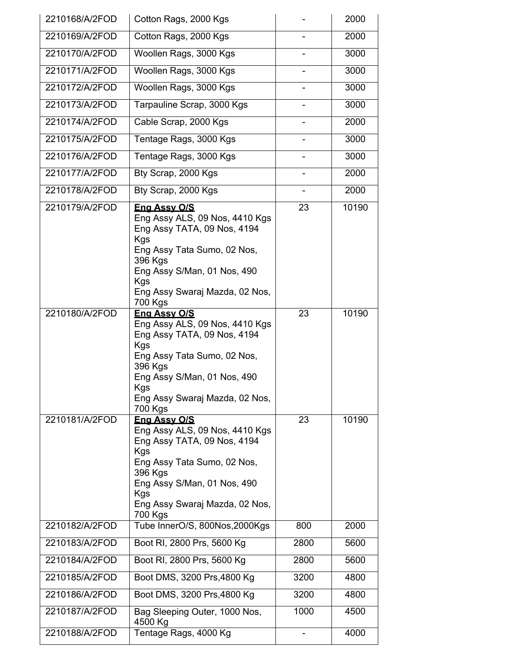| 2210168/A/2FOD | Cotton Rags, 2000 Kgs                                                                                                                                                                                                    |      | 2000  |
|----------------|--------------------------------------------------------------------------------------------------------------------------------------------------------------------------------------------------------------------------|------|-------|
| 2210169/A/2FOD | Cotton Rags, 2000 Kgs                                                                                                                                                                                                    |      | 2000  |
| 2210170/A/2FOD | Woollen Rags, 3000 Kgs                                                                                                                                                                                                   |      | 3000  |
| 2210171/A/2FOD | Woollen Rags, 3000 Kgs                                                                                                                                                                                                   |      | 3000  |
| 2210172/A/2FOD | Woollen Rags, 3000 Kgs                                                                                                                                                                                                   |      | 3000  |
| 2210173/A/2FOD | Tarpauline Scrap, 3000 Kgs                                                                                                                                                                                               |      | 3000  |
| 2210174/A/2FOD | Cable Scrap, 2000 Kgs                                                                                                                                                                                                    |      | 2000  |
| 2210175/A/2FOD | Tentage Rags, 3000 Kgs                                                                                                                                                                                                   |      | 3000  |
| 2210176/A/2FOD | Tentage Rags, 3000 Kgs                                                                                                                                                                                                   |      | 3000  |
| 2210177/A/2FOD | Bty Scrap, 2000 Kgs                                                                                                                                                                                                      |      | 2000  |
| 2210178/A/2FOD | Bty Scrap, 2000 Kgs                                                                                                                                                                                                      |      | 2000  |
| 2210179/A/2FOD | Eng Assy O/S<br>Eng Assy ALS, 09 Nos, 4410 Kgs<br>Eng Assy TATA, 09 Nos, 4194<br><b>Kgs</b><br>Eng Assy Tata Sumo, 02 Nos,<br>396 Kgs<br>Eng Assy S/Man, 01 Nos, 490<br>Kgs<br>Eng Assy Swaraj Mazda, 02 Nos,<br>700 Kgs | 23   | 10190 |
| 2210180/A/2FOD | <b>Eng Assy O/S</b><br>Eng Assy ALS, 09 Nos, 4410 Kgs<br>Eng Assy TATA, 09 Nos, 4194<br>Kgs<br>Eng Assy Tata Sumo, 02 Nos,<br>396 Kgs<br>Eng Assy S/Man, 01 Nos, 490<br>Kgs<br>Eng Assy Swaraj Mazda, 02 Nos,<br>700 Kgs | 23   | 10190 |
| 2210181/A/2FOD | Eng Assy O/S<br>Eng Assy ALS, 09 Nos, 4410 Kgs<br>Eng Assy TATA, 09 Nos, 4194<br>Kgs<br>Eng Assy Tata Sumo, 02 Nos,<br>396 Kgs<br>Eng Assy S/Man, 01 Nos, 490<br>Kgs<br>Eng Assy Swaraj Mazda, 02 Nos,<br>700 Kgs        | 23   | 10190 |
| 2210182/A/2FOD | Tube InnerO/S, 800Nos, 2000Kgs                                                                                                                                                                                           | 800  | 2000  |
| 2210183/A/2FOD | Boot RI, 2800 Prs, 5600 Kg                                                                                                                                                                                               | 2800 | 5600  |
| 2210184/A/2FOD | Boot RI, 2800 Prs, 5600 Kg                                                                                                                                                                                               | 2800 | 5600  |
| 2210185/A/2FOD | Boot DMS, 3200 Prs, 4800 Kg                                                                                                                                                                                              | 3200 | 4800  |
| 2210186/A/2FOD | Boot DMS, 3200 Prs, 4800 Kg                                                                                                                                                                                              | 3200 | 4800  |
| 2210187/A/2FOD | Bag Sleeping Outer, 1000 Nos,<br>4500 Kg                                                                                                                                                                                 | 1000 | 4500  |
| 2210188/A/2FOD | Tentage Rags, 4000 Kg                                                                                                                                                                                                    |      | 4000  |